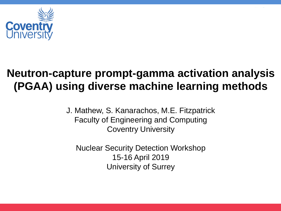

## **Neutron-capture prompt-gamma activation analysis (PGAA) using diverse machine learning methods**

J. Mathew, S. Kanarachos, M.E. Fitzpatrick Faculty of Engineering and Computing Coventry University

Nuclear Security Detection Workshop 15-16 April 2019 University of Surrey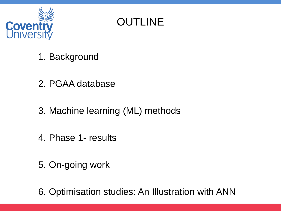

**OUTLINE** 

- 1. Background
- 2. PGAA database
- 3. Machine learning (ML) methods
- 4. Phase 1- results
- 5. On-going work

6. Optimisation studies: An Illustration with ANN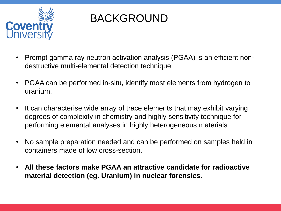

# BACKGROUND

- Prompt gamma ray neutron activation analysis (PGAA) is an efficient nondestructive multi-elemental detection technique
- PGAA can be performed in-situ, identify most elements from hydrogen to uranium.
- It can characterise wide array of trace elements that may exhibit varying degrees of complexity in chemistry and highly sensitivity technique for performing elemental analyses in highly heterogeneous materials.
- No sample preparation needed and can be performed on samples held in containers made of low cross-section.
- **All these factors make PGAA an attractive candidate for radioactive material detection (eg. Uranium) in nuclear forensics**.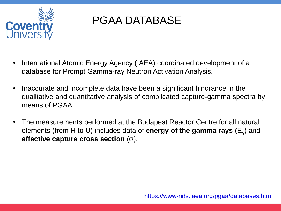

## PGAA DATABASE

- International Atomic Energy Agency (IAEA) coordinated development of a database for Prompt Gamma-ray Neutron Activation Analysis.
- Inaccurate and incomplete data have been a significant hindrance in the qualitative and quantitative analysis of complicated capture-gamma spectra by means of PGAA.
- The measurements performed at the Budapest Reactor Centre for all natural elements (from H to U) includes data of **energy of the gamma rays** (E<sup>ɣ</sup> ) and **effective capture cross section** (σ).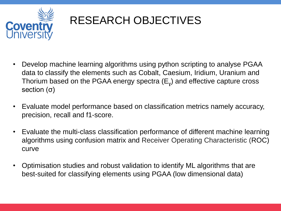

# RESEARCH OBJECTIVES

- Develop machine learning algorithms using python scripting to analyse PGAA data to classify the elements such as Cobalt, Caesium, Iridium, Uranium and Thorium based on the PGAA energy spectra  $(\mathsf{E}_\mathsf{y})$  and effective capture cross section (σ)
- Evaluate model performance based on classification metrics namely accuracy, precision, recall and f1-score.
- Evaluate the multi-class classification performance of different machine learning algorithms using confusion matrix and Receiver Operating Characteristic (ROC) curve
- Optimisation studies and robust validation to identify ML algorithms that are best-suited for classifying elements using PGAA (low dimensional data)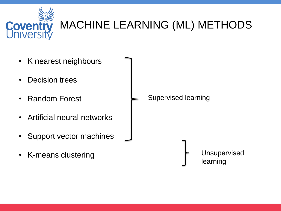

# MACHINE LEARNING (ML) METHODS

- K nearest neighbours
- Decision trees
- Random Forest
- Artificial neural networks
- Support vector machines
- K-means clustering

Supervised learning

Unsupervised learning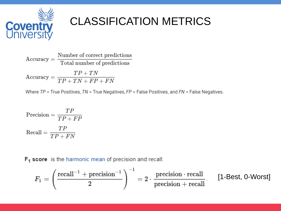

# CLASSIFICATION METRICS

Number of correct predictions  $Accuracy =$ Total number of predictions  $\text{Accuracy} = \frac{TP + TN}{TP + TN + FP + FN}$ 

Where  $TP$  = True Positives,  $TN$  = True Negatives,  $FP$  = False Positives, and  $FN$  = False Negatives.

$$
\text{Precision} = \frac{TP}{TP + FP}
$$
\n
$$
\text{Recall} = \frac{TP}{TP + FN}
$$

 $F<sub>1</sub>$  score is the harmonic mean of precision and recall:

$$
F_1 = \left(\frac{\mathrm{recall}^{-1} + \mathrm{precision}^{-1}}{2}\right)^{-1} = 2 \cdot \frac{\mathrm{precision} \cdot \mathrm{recall}}{\mathrm{precision} + \mathrm{recall}} \qquad \text{[1-Best, 0-Worst]}
$$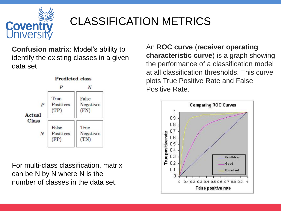

# CLASSIFICATION METRICS

**Confusion matrix**: Model's ability to identify the existing classes in a given data set



For multi-class classification, matrix can be N by N where N is the number of classes in the data set.

An **ROC curve** (**receiver operating characteristic curve**) is a graph showing the performance of a classification model at all classification thresholds. This curve plots True Positive Rate and False Positive Rate.

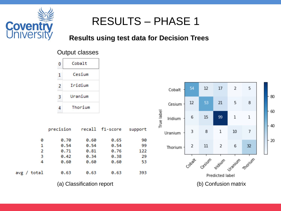

### **Results using test data for Decision Trees**

#### Output classes



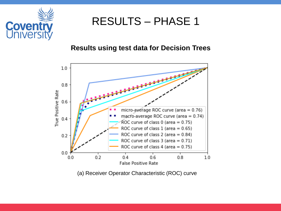

#### **Results using test data for Decision Trees**



(a) Receiver Operator Characteristic (ROC) curve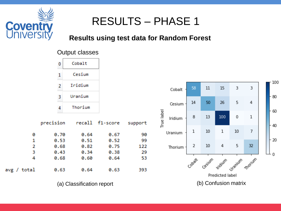

### **Results using test data for Random Forest**

#### Output classes



(a) Classification report (b) Confusion matrix

100

- 80

60

40

20

n

3

4

1

7

32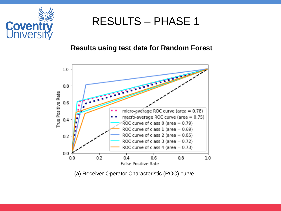

#### **Results using test data for Random Forest**



(a) Receiver Operator Characteristic (ROC) curve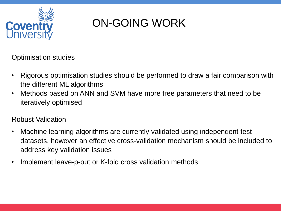

# ON-GOING WORK

Optimisation studies

- Rigorous optimisation studies should be performed to draw a fair comparison with the different ML algorithms.
- Methods based on ANN and SVM have more free parameters that need to be iteratively optimised

### Robust Validation

- Machine learning algorithms are currently validated using independent test datasets, however an effective cross-validation mechanism should be included to address key validation issues
- Implement leave-p-out or K-fold cross validation methods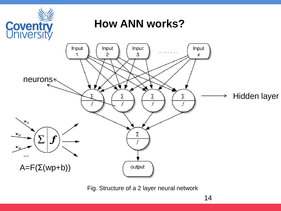

Fig. Structure of a 2 layer neural network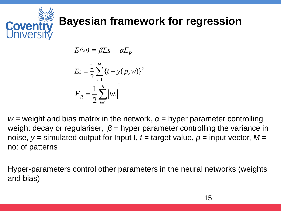

$$
E(w) = \beta E s + \alpha E_R
$$
  
\n
$$
E_s = \frac{1}{2} \sum_{i=1}^{M} \{t - y(p, w)\}^2
$$
  
\n
$$
E_R = \frac{1}{2} \sum_{i=1}^{R} |w_i|^2
$$

 $w =$  weight and bias matrix in the network,  $\alpha =$  hyper parameter controlling weight decay or regulariser,  $\beta$  = hyper parameter controlling the variance in noise,  $y =$  simulated output for Input I,  $t =$  target value,  $p =$  input vector,  $M =$ no: of patterns

Hyper-parameters control other parameters in the neural networks (weights and bias)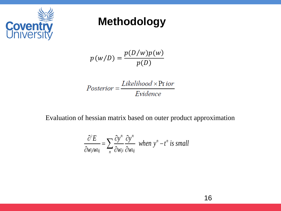

### **Methodology**

 $p(w/D) =$  $p(D/w)p(w)$  $p(D)$ 

Evaluation of hessian matrix based on outer product approximation

**Methodology**  
\n
$$
p(w/D) = \frac{p(D/w)p(w)}{p(D)}
$$
\n
$$
Posterior = \frac{Likelihood \times \text{Prior}}{Evidence}
$$
\n
$$
b \text{hessian matrix based on outer product approximation}
$$
\n
$$
\frac{\partial^2 E}{\partial w_{ij}w_{kj}} = \sum_n \frac{\partial y^n}{\partial w_{ij}} \frac{\partial y^n}{\partial w_{kj}} \text{ when } y^n - t^n \text{ is small}
$$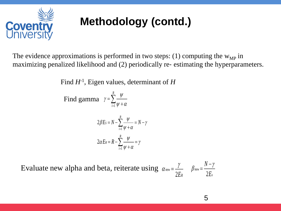

# **Methodology (contd.)**

**incoming**<br> **Proper CONTOLY (CONTOL)**<br>
performed in two steps: (1) computing<br>
and (2) periodically re- estimating the<br>
proper values, determinant of H<br>  $\gamma = \sum_{i=1}^{R} \frac{\psi}{\psi + \alpha}$ <br>  $E_s = N - \sum_{i=1}^{R} \frac{\psi}{\psi + \alpha} = N - \gamma$ <br>  $E_R = R$ **hodology (contd.)**<br>
s performed in two steps: (1) computing the  $w_{MP}$  in<br>
od and (2) periodically re- estimating the hyperparameters.<br>
nn values, determinant of *H*<br>  $y = \sum_{i=1}^{8} \frac{W}{\psi + \alpha}$ <br>  $\beta E_s = N - \sum_{i=1}^{8} \frac{W}{\psi +$ **ology (contd.)**<br>
rmed in two steps: (1) computing the w<sub>MP</sub> in<br>
(2) periodically re- estimating the hyperparameters.<br>
ss, determinant of *H*<br>  $\frac{w}{+\alpha}$ <br>  $+\alpha$ <br>  $\frac{g}{\pm} \frac{w}{\sqrt{x} + \alpha} = N - \gamma$ <br>
strategy =  $N - \gamma$ **Ddology (contd.)**<br>
erformed in two steps: (1) computing the  $w_{MP}$  in<br>
and (2) periodically re- estimating the hyperparameters.<br>
values, determinant of H<br>  $= \sum_{i=1}^{8} \frac{\psi}{\psi + \alpha}$ <br>  $= N - \sum_{i=1}^{8} \frac{\psi}{\psi + \alpha} = N - \gamma$ <br>  $= R - \sum$ **indiciply** (contd.)<br>
performed in two steps: (1) comput<br>
d and (2) periodically re- estimating<br> **i** values, determinant of *H*<br>  $\gamma = \sum_{i=1}^{R} \frac{W}{\psi + \alpha}$ <br>  $E_s = N - \sum_{i=1}^{R} \frac{W}{\psi + \alpha} = N - \gamma$ <br>  $E_R = R - \sum_{i=1}^{R} \frac{W}{\psi + \alpha} = \$ **hodology (contd.)**<br>
s performed in two steps: (1) computing the  $w_{MP}$  in<br>
od and (2) periodically re- estimating the hyperparameters.<br>
m values, determinant of H<br>  $\gamma = \sum_{i=1}^{s} \frac{\psi}{\psi + \alpha}$ <br>  $\beta E_s = N - \sum_{i=1}^{s} \frac{\psi}{\psi + \alpha$ **ology (contd.)**<br>
rmed in two steps: (1) computing the w<sub>MP</sub> in<br>
(2) periodically re- estimating the hyperparameters.<br>
es, determinant of *H*<br>  $\frac{w}{1 + a}$ <br>  $\frac{a}{1 + a}$ <br>  $\frac{w}{1 + a} = N - \gamma$ <br>  $\frac{a}{1 + a} = \frac{N}{1 + a} = \gamma$ <br>
iterate **Odology (contd.)**<br>
erformed in two steps: (1) computing the  $w_{MP}$  in<br>
rand (2) periodically re- estimating the hyperparameters.<br>
ralues, determinant of *H*<br>  $= \sum_{i=1}^{k} \frac{W}{\psi + \alpha}$ <br>  $= N - \sum_{i=1}^{k} \frac{W}{\psi + \alpha} = N - \gamma$ <br>  $= R$ The evidence approximations is performed in two steps: (1) computing the  $w_{MP}$  in maximizing penalized likelihood and (2) periodically re-estimating the hyperparameters.

Find *H*-1 , Eigen values, determinant of *H*

1 *R i*  $\psi$ γ  $\mathbf{v}$  =  $\mathbf{v}$  +  $\alpha$  $=$  $\ddagger$ Find gamma  $\gamma = \sum$ 

$$
2\beta E_s = N - \sum_{i=1}^{R} \frac{\psi}{\psi + \alpha} = N - \gamma
$$

$$
2\alpha E_R = R - \sum_{i=1}^{R} \frac{\psi}{\psi + \alpha} = \gamma
$$

 $2E_R$   $2E_s$ *new E*<sub>R</sub>  $\angle E_s$  $\alpha_{new} = \frac{\gamma}{\beta_{new}} = \frac{N-\gamma}{\gamma_{new}}$  $2E_s$ *new s*  $\beta_{new} = \frac{N - \gamma}{2 \pi}$ *E* Evaluate new alpha and beta, reiterate using  $\alpha_{new} = \frac{y}{\alpha_{new}} = \frac{N-y}{\alpha_{new}}$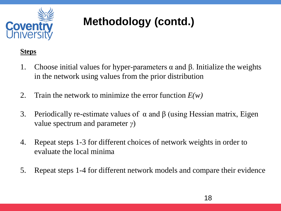

# **Methodology (contd.)**

#### **Steps**

- 1. Choose initial values for hyper-parameters  $\alpha$  and  $\beta$ . Initialize the weights in the network using values from the prior distribution
- 2. Train the network to minimize the error function *E(w)*
- 3. Periodically re-estimate values of  $\alpha$  and  $\beta$  (using Hessian matrix, Eigen value spectrum and parameter *γ*)
- 4. Repeat steps 1-3 for different choices of network weights in order to evaluate the local minima
- 5. Repeat steps 1-4 for different network models and compare their evidence